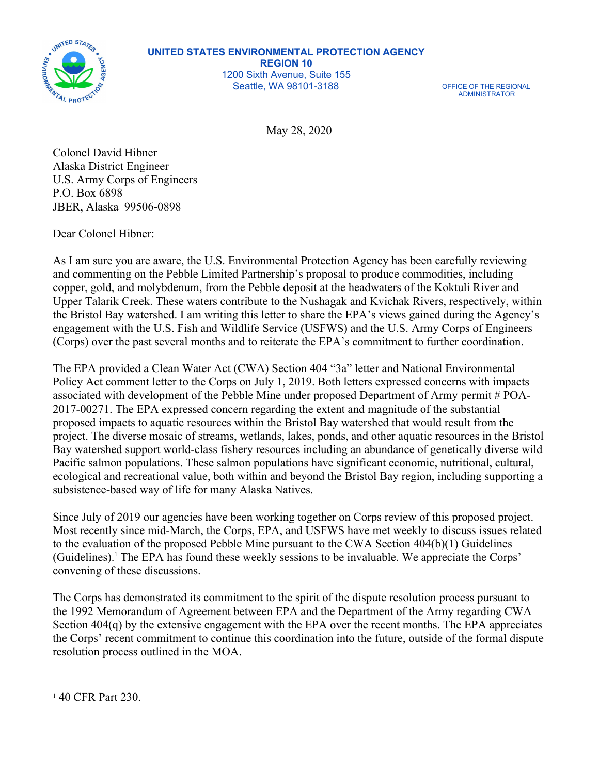

**UNITED STATES ENVIRONMENTAL PROTECTION AGENCY REGION 10** 1200 Sixth Avenue, Suite 155 Seattle, WA 98101-3188 OFFICE OF THE REGIONAL

ADMINISTRATOR

May 28, 2020

Colonel David Hibner Alaska District Engineer U.S. Army Corps of Engineers P.O. Box 6898 JBER, Alaska 99506-0898

Dear Colonel Hibner:

As I am sure you are aware, the U.S. Environmental Protection Agency has been carefully reviewing and commenting on the Pebble Limited Partnership's proposal to produce commodities, including copper, gold, and molybdenum, from the Pebble deposit at the headwaters of the Koktuli River and Upper Talarik Creek. These waters contribute to the Nushagak and Kvichak Rivers, respectively, within the Bristol Bay watershed. I am writing this letter to share the EPA's views gained during the Agency's engagement with the U.S. Fish and Wildlife Service (USFWS) and the U.S. Army Corps of Engineers (Corps) over the past several months and to reiterate the EPA's commitment to further coordination.

The EPA provided a Clean Water Act (CWA) Section 404 "3a" letter and National Environmental Policy Act comment letter to the Corps on July 1, 2019. Both letters expressed concerns with impacts associated with development of the Pebble Mine under proposed Department of Army permit # POA-2017-00271. The EPA expressed concern regarding the extent and magnitude of the substantial proposed impacts to aquatic resources within the Bristol Bay watershed that would result from the project. The diverse mosaic of streams, wetlands, lakes, ponds, and other aquatic resources in the Bristol Bay watershed support world-class fishery resources including an abundance of genetically diverse wild Pacific salmon populations. These salmon populations have significant economic, nutritional, cultural, ecological and recreational value, both within and beyond the Bristol Bay region, including supporting a subsistence-based way of life for many Alaska Natives.

Since July of 2019 our agencies have been working together on Corps review of this proposed project. Most recently since mid-March, the Corps, EPA, and USFWS have met weekly to discuss issues related to the evaluation of the proposed Pebble Mine pursuant to the CWA Section 404(b)(1) Guidelines (Guidelines).<sup>1</sup> The EPA has found these weekly sessions to be invaluable. We appreciate the Corps' convening of these discussions.

The Corps has demonstrated its commitment to the spirit of the dispute resolution process pursuant to the 1992 Memorandum of Agreement between EPA and the Department of the Army regarding CWA Section 404(q) by the extensive engagement with the EPA over the recent months. The EPA appreciates the Corps' recent commitment to continue this coordination into the future, outside of the formal dispute resolution process outlined in the MOA.

<sup>1</sup> 40 CFR Part 230.